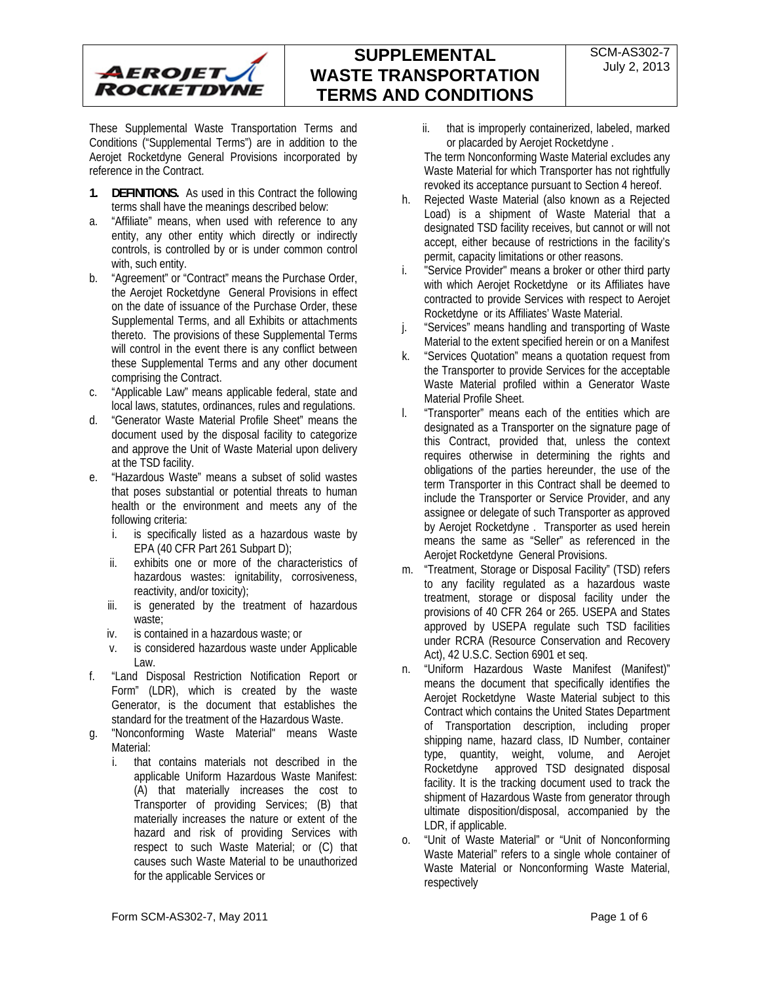

These Supplemental Waste Transportation Terms and Conditions ("Supplemental Terms") are in addition to the Aerojet Rocketdyne General Provisions incorporated by reference in the Contract.

- **1. DEFINITIONS.** As used in this Contract the following terms shall have the meanings described below:
- a. "Affiliate" means, when used with reference to any entity, any other entity which directly or indirectly controls, is controlled by or is under common control with, such entity.
- b. "Agreement" or "Contract" means the Purchase Order, the Aerojet Rocketdyne General Provisions in effect on the date of issuance of the Purchase Order, these Supplemental Terms, and all Exhibits or attachments thereto. The provisions of these Supplemental Terms will control in the event there is any conflict between these Supplemental Terms and any other document comprising the Contract.
- c. "Applicable Law" means applicable federal, state and local laws, statutes, ordinances, rules and regulations.
- d. "Generator Waste Material Profile Sheet" means the document used by the disposal facility to categorize and approve the Unit of Waste Material upon delivery at the TSD facility.
- e. "Hazardous Waste" means a subset of solid wastes that poses substantial or potential threats to human health or the environment and meets any of the following criteria:
	- i. is specifically listed as a hazardous waste by EPA (40 CFR Part 261 Subpart D);
	- ii. exhibits one or more of the characteristics of hazardous wastes: ignitability, corrosiveness, reactivity, and/or toxicity);
	- iii. is generated by the treatment of hazardous waste;
	- iv. is contained in a hazardous waste; or
	- v. is considered hazardous waste under Applicable Law.
- f. "Land Disposal Restriction Notification Report or Form" (LDR), which is created by the waste Generator, is the document that establishes the standard for the treatment of the Hazardous Waste.
- g. "Nonconforming Waste Material" means Waste Material:
	- i. that contains materials not described in the applicable Uniform Hazardous Waste Manifest: (A) that materially increases the cost to Transporter of providing Services; (B) that materially increases the nature or extent of the hazard and risk of providing Services with respect to such Waste Material; or (C) that causes such Waste Material to be unauthorized for the applicable Services or
- ii. that is improperly containerized, labeled, marked or placarded by Aerojet Rocketdyne .
- The term Nonconforming Waste Material excludes any Waste Material for which Transporter has not rightfully revoked its acceptance pursuant to Section 4 hereof.
- h. Rejected Waste Material (also known as a Rejected Load) is a shipment of Waste Material that a designated TSD facility receives, but cannot or will not accept, either because of restrictions in the facility's permit, capacity limitations or other reasons.
- i. "Service Provider" means a broker or other third party with which Aerojet Rocketdyne or its Affiliates have contracted to provide Services with respect to Aerojet Rocketdyne or its Affiliates' Waste Material.
- j. "Services" means handling and transporting of Waste Material to the extent specified herein or on a Manifest
- k. "Services Quotation" means a quotation request from the Transporter to provide Services for the acceptable Waste Material profiled within a Generator Waste Material Profile Sheet.
- l. "Transporter" means each of the entities which are designated as a Transporter on the signature page of this Contract, provided that, unless the context requires otherwise in determining the rights and obligations of the parties hereunder, the use of the term Transporter in this Contract shall be deemed to include the Transporter or Service Provider, and any assignee or delegate of such Transporter as approved by Aerojet Rocketdyne . Transporter as used herein means the same as "Seller" as referenced in the Aerojet Rocketdyne General Provisions.
- m. "Treatment, Storage or Disposal Facility" (TSD) refers to any facility regulated as a hazardous waste treatment, storage or disposal facility under the provisions of 40 CFR 264 or 265. USEPA and States approved by USEPA regulate such TSD facilities under RCRA (Resource Conservation and Recovery Act), 42 U.S.C. Section 6901 et seq.
- n. "Uniform Hazardous Waste Manifest (Manifest)" means the document that specifically identifies the Aerojet Rocketdyne Waste Material subject to this Contract which contains the United States Department of Transportation description, including proper shipping name, hazard class, ID Number, container type, quantity, weight, volume, and Aerojet Rocketdyne approved TSD designated disposal facility. It is the tracking document used to track the shipment of Hazardous Waste from generator through ultimate disposition/disposal, accompanied by the LDR, if applicable.
- o. "Unit of Waste Material" or "Unit of Nonconforming Waste Material" refers to a single whole container of Waste Material or Nonconforming Waste Material, respectively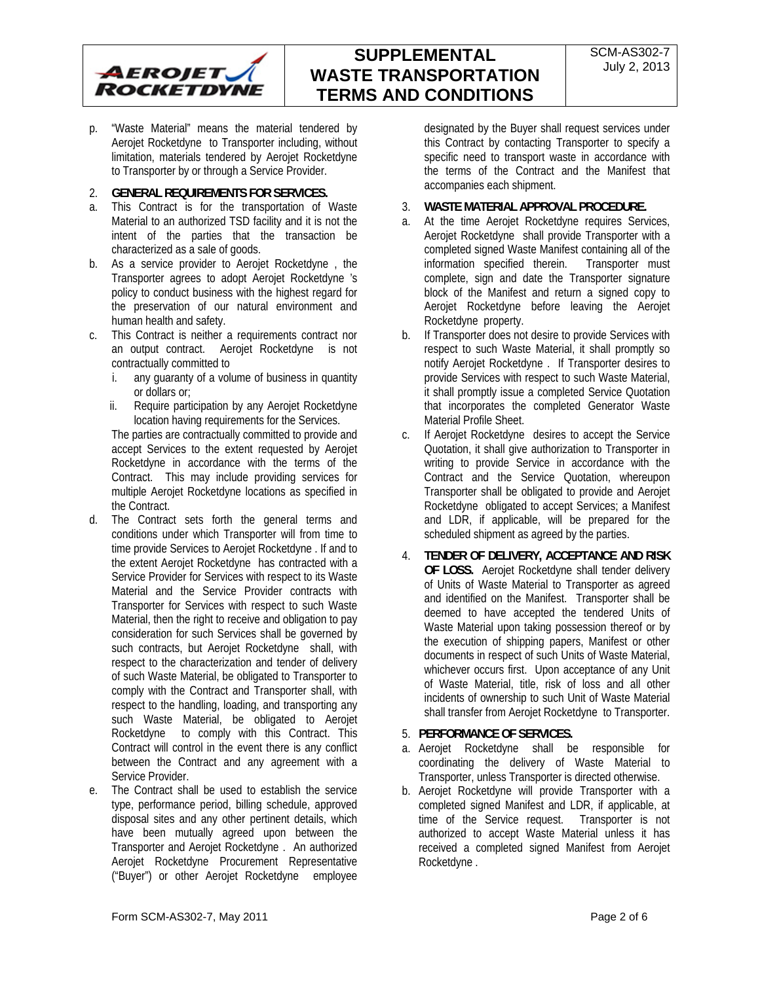

**SUPPLEMENTAL WASTE TRANSPORTATION TERMS AND CONDITIONS** 

p. "Waste Material" means the material tendered by Aerojet Rocketdyne to Transporter including, without limitation, materials tendered by Aerojet Rocketdyne to Transporter by or through a Service Provider.

## 2. **GENERAL REQUIREMENTS FOR SERVICES.**

- a. This Contract is for the transportation of Waste Material to an authorized TSD facility and it is not the intent of the parties that the transaction be characterized as a sale of goods.
- b. As a service provider to Aerojet Rocketdyne , the Transporter agrees to adopt Aerojet Rocketdyne 's policy to conduct business with the highest regard for the preservation of our natural environment and human health and safety.
- c. This Contract is neither a requirements contract nor an output contract. Aerojet Rocketdyne is not contractually committed to
	- i. any guaranty of a volume of business in quantity or dollars or;
	- ii. Require participation by any Aerojet Rocketdyne location having requirements for the Services.

The parties are contractually committed to provide and accept Services to the extent requested by Aerojet Rocketdyne in accordance with the terms of the Contract. This may include providing services for multiple Aerojet Rocketdyne locations as specified in the Contract.

- d. The Contract sets forth the general terms and conditions under which Transporter will from time to time provide Services to Aerojet Rocketdyne . If and to the extent Aerojet Rocketdyne has contracted with a Service Provider for Services with respect to its Waste Material and the Service Provider contracts with Transporter for Services with respect to such Waste Material, then the right to receive and obligation to pay consideration for such Services shall be governed by such contracts, but Aerojet Rocketdyne shall, with respect to the characterization and tender of delivery of such Waste Material, be obligated to Transporter to comply with the Contract and Transporter shall, with respect to the handling, loading, and transporting any such Waste Material, be obligated to Aerojet Rocketdyne to comply with this Contract. This Contract will control in the event there is any conflict between the Contract and any agreement with a Service Provider.
- e. The Contract shall be used to establish the service type, performance period, billing schedule, approved disposal sites and any other pertinent details, which have been mutually agreed upon between the Transporter and Aerojet Rocketdyne . An authorized Aerojet Rocketdyne Procurement Representative ("Buyer") or other Aerojet Rocketdyne employee

designated by the Buyer shall request services under this Contract by contacting Transporter to specify a specific need to transport waste in accordance with the terms of the Contract and the Manifest that accompanies each shipment.

- 3. **WASTE MATERIAL APPROVAL PROCEDURE.**
- a. At the time Aerojet Rocketdyne requires Services, Aerojet Rocketdyne shall provide Transporter with a completed signed Waste Manifest containing all of the information specified therein. Transporter must complete, sign and date the Transporter signature block of the Manifest and return a signed copy to Aerojet Rocketdyne before leaving the Aerojet Rocketdyne property.
- b. If Transporter does not desire to provide Services with respect to such Waste Material, it shall promptly so notify Aerojet Rocketdyne . If Transporter desires to provide Services with respect to such Waste Material, it shall promptly issue a completed Service Quotation that incorporates the completed Generator Waste Material Profile Sheet.
- c. If Aerojet Rocketdyne desires to accept the Service Quotation, it shall give authorization to Transporter in writing to provide Service in accordance with the Contract and the Service Quotation, whereupon Transporter shall be obligated to provide and Aerojet Rocketdyne obligated to accept Services; a Manifest and LDR, if applicable, will be prepared for the scheduled shipment as agreed by the parties.
- 4. **TENDER OF DELIVERY, ACCEPTANCE AND RISK OF LOSS.** Aerojet Rocketdyne shall tender delivery of Units of Waste Material to Transporter as agreed and identified on the Manifest. Transporter shall be deemed to have accepted the tendered Units of Waste Material upon taking possession thereof or by the execution of shipping papers, Manifest or other documents in respect of such Units of Waste Material, whichever occurs first. Upon acceptance of any Unit of Waste Material, title, risk of loss and all other incidents of ownership to such Unit of Waste Material shall transfer from Aerojet Rocketdyne to Transporter.

## 5. **PERFORMANCE OF SERVICES.**

- a. Aerojet Rocketdyne shall be responsible for coordinating the delivery of Waste Material to Transporter, unless Transporter is directed otherwise.
- b. Aerojet Rocketdyne will provide Transporter with a completed signed Manifest and LDR, if applicable, at time of the Service request. Transporter is not authorized to accept Waste Material unless it has received a completed signed Manifest from Aerojet Rocketdyne .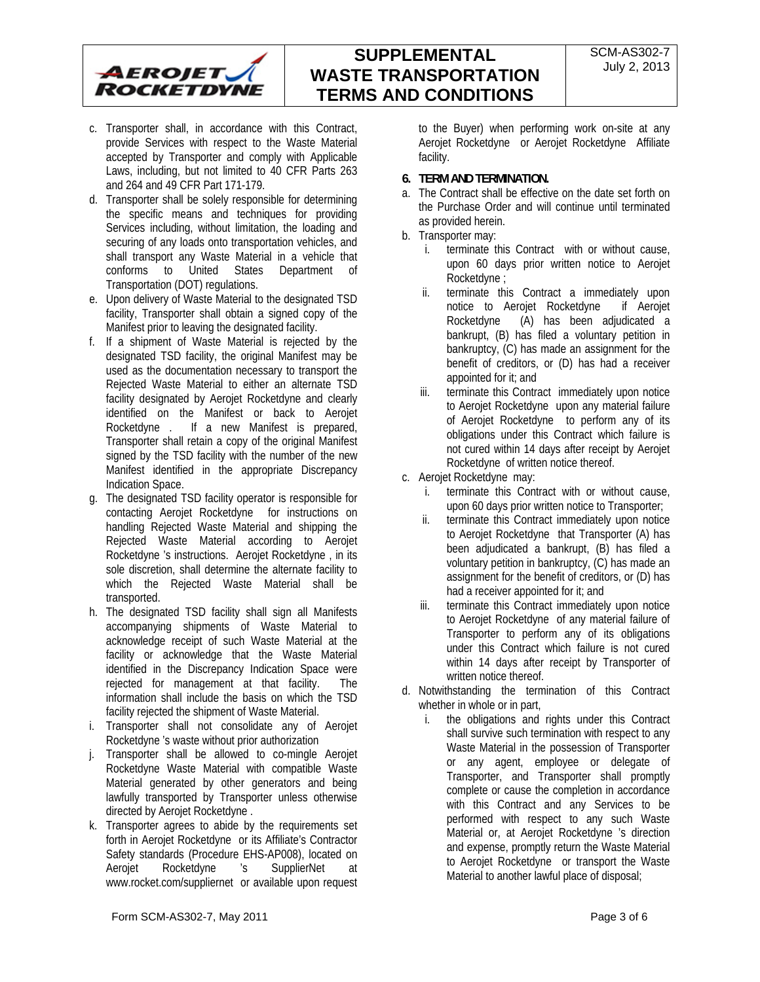

- c. Transporter shall, in accordance with this Contract, provide Services with respect to the Waste Material accepted by Transporter and comply with Applicable Laws, including, but not limited to 40 CFR Parts 263 and 264 and 49 CFR Part 171-179.
- d. Transporter shall be solely responsible for determining the specific means and techniques for providing Services including, without limitation, the loading and securing of any loads onto transportation vehicles, and shall transport any Waste Material in a vehicle that conforms to United States Department of Transportation (DOT) regulations.
- e. Upon delivery of Waste Material to the designated TSD facility, Transporter shall obtain a signed copy of the Manifest prior to leaving the designated facility.
- f. If a shipment of Waste Material is rejected by the designated TSD facility, the original Manifest may be used as the documentation necessary to transport the Rejected Waste Material to either an alternate TSD facility designated by Aerojet Rocketdyne and clearly identified on the Manifest or back to Aerojet Rocketdyne . If a new Manifest is prepared, Transporter shall retain a copy of the original Manifest signed by the TSD facility with the number of the new Manifest identified in the appropriate Discrepancy Indication Space.
- g. The designated TSD facility operator is responsible for contacting Aerojet Rocketdyne for instructions on handling Rejected Waste Material and shipping the Rejected Waste Material according to Aerojet Rocketdyne 's instructions. Aerojet Rocketdyne , in its sole discretion, shall determine the alternate facility to which the Rejected Waste Material shall be transported.
- h. The designated TSD facility shall sign all Manifests accompanying shipments of Waste Material to acknowledge receipt of such Waste Material at the facility or acknowledge that the Waste Material identified in the Discrepancy Indication Space were rejected for management at that facility. The information shall include the basis on which the TSD facility rejected the shipment of Waste Material.
- i. Transporter shall not consolidate any of Aerojet Rocketdyne 's waste without prior authorization
- j. Transporter shall be allowed to co-mingle Aerojet Rocketdyne Waste Material with compatible Waste Material generated by other generators and being lawfully transported by Transporter unless otherwise directed by Aerojet Rocketdyne .
- k. Transporter agrees to abide by the requirements set forth in Aerojet Rocketdyne or its Affiliate's Contractor Safety standards (Procedure EHS-AP008), located on Aerojet Rocketdyne 's SupplierNet at www.rocket.com/suppliernet or available upon request

to the Buyer) when performing work on-site at any Aerojet Rocketdyne or Aerojet Rocketdyne Affiliate facility.

## **6. TERM AND TERMINATION.**

- a. The Contract shall be effective on the date set forth on the Purchase Order and will continue until terminated as provided herein.
- b. Transporter may:
	- i. terminate this Contract with or without cause, upon 60 days prior written notice to Aerojet Rocketdyne ;
	- ii. terminate this Contract a immediately upon notice to Aerojet Rocketdyne if Aerojet Rocketdyne (A) has been adjudicated a bankrupt, (B) has filed a voluntary petition in bankruptcy, (C) has made an assignment for the benefit of creditors, or (D) has had a receiver appointed for it; and
	- iii. terminate this Contract immediately upon notice to Aerojet Rocketdyne upon any material failure of Aerojet Rocketdyne to perform any of its obligations under this Contract which failure is not cured within 14 days after receipt by Aerojet Rocketdyne of written notice thereof.
- c. Aerojet Rocketdyne may:
	- i. terminate this Contract with or without cause, upon 60 days prior written notice to Transporter;
	- ii. terminate this Contract immediately upon notice to Aerojet Rocketdyne that Transporter (A) has been adjudicated a bankrupt, (B) has filed a voluntary petition in bankruptcy, (C) has made an assignment for the benefit of creditors, or (D) has had a receiver appointed for it; and
	- iii. terminate this Contract immediately upon notice to Aerojet Rocketdyne of any material failure of Transporter to perform any of its obligations under this Contract which failure is not cured within 14 days after receipt by Transporter of written notice thereof.
- d. Notwithstanding the termination of this Contract whether in whole or in part,
	- i. the obligations and rights under this Contract shall survive such termination with respect to any Waste Material in the possession of Transporter or any agent, employee or delegate of Transporter, and Transporter shall promptly complete or cause the completion in accordance with this Contract and any Services to be performed with respect to any such Waste Material or, at Aerojet Rocketdyne 's direction and expense, promptly return the Waste Material to Aerojet Rocketdyne or transport the Waste Material to another lawful place of disposal;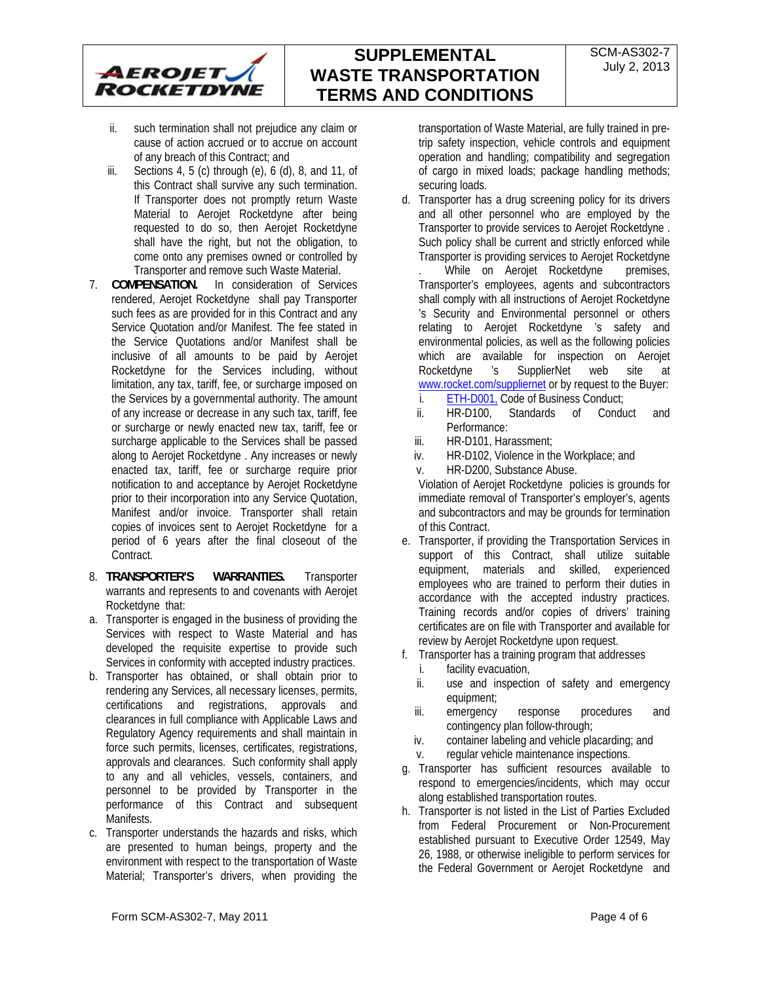

## **SUPPLEMENTAL WASTE TRANSPORTATION TERMS AND CONDITIONS**

- ii. such termination shall not prejudice any claim or cause of action accrued or to accrue on account of any breach of this Contract; and
- iii. Sections  $4, 5$  (c) through (e),  $6$  (d),  $8$ , and  $11$ , of this Contract shall survive any such termination. If Transporter does not promptly return Waste Material to Aerojet Rocketdyne after being requested to do so, then Aerojet Rocketdyne shall have the right, but not the obligation, to come onto any premises owned or controlled by Transporter and remove such Waste Material.
- 7. **COMPENSATION.** In consideration of Services rendered, Aerojet Rocketdyne shall pay Transporter such fees as are provided for in this Contract and any Service Quotation and/or Manifest. The fee stated in the Service Quotations and/or Manifest shall be inclusive of all amounts to be paid by Aerojet Rocketdyne for the Services including, without limitation, any tax, tariff, fee, or surcharge imposed on the Services by a governmental authority. The amount of any increase or decrease in any such tax, tariff, fee or surcharge or newly enacted new tax, tariff, fee or surcharge applicable to the Services shall be passed along to Aerojet Rocketdyne . Any increases or newly enacted tax, tariff, fee or surcharge require prior notification to and acceptance by Aerojet Rocketdyne prior to their incorporation into any Service Quotation, Manifest and/or invoice. Transporter shall retain copies of invoices sent to Aerojet Rocketdyne for a period of 6 years after the final closeout of the Contract.
- 8. **TRANSPORTER'S WARRANTIES.** Transporter warrants and represents to and covenants with Aerojet Rocketdyne that:
- a. Transporter is engaged in the business of providing the Services with respect to Waste Material and has developed the requisite expertise to provide such Services in conformity with accepted industry practices.
- b. Transporter has obtained, or shall obtain prior to rendering any Services, all necessary licenses, permits, certifications and registrations, approvals and clearances in full compliance with Applicable Laws and Regulatory Agency requirements and shall maintain in force such permits, licenses, certificates, registrations, approvals and clearances. Such conformity shall apply to any and all vehicles, vessels, containers, and personnel to be provided by Transporter in the performance of this Contract and subsequent Manifests.
- c. Transporter understands the hazards and risks, which are presented to human beings, property and the environment with respect to the transportation of Waste Material; Transporter's drivers, when providing the

transportation of Waste Material, are fully trained in pretrip safety inspection, vehicle controls and equipment operation and handling; compatibility and segregation of cargo in mixed loads; package handling methods; securing loads.

d. Transporter has a drug screening policy for its drivers and all other personnel who are employed by the Transporter to provide services to Aerojet Rocketdyne . Such policy shall be current and strictly enforced while Transporter is providing services to Aerojet Rocketdyne

While on Aerojet Rocketdyne premises, Transporter's employees, agents and subcontractors shall comply with all instructions of Aerojet Rocketdyne 's Security and Environmental personnel or others relating to Aerojet Rocketdyne 's safety and environmental policies, as well as the following policies which are available for inspection on Aerojet Rocketdyne 's SupplierNet web site at www.rocket.com/suppliernet or by request to the Buyer:

- i. ETH-D001, Code of Business Conduct;
- ii. HR-D100, Standards of Conduct and Performance:
- iii. HR-D101, Harassment;
- iv. HR-D102, Violence in the Workplace; and
- v. HR-D200, Substance Abuse.

Violation of Aerojet Rocketdyne policies is grounds for immediate removal of Transporter's employer's, agents and subcontractors and may be grounds for termination of this Contract.

- e. Transporter, if providing the Transportation Services in support of this Contract, shall utilize suitable equipment, materials and skilled, experienced employees who are trained to perform their duties in accordance with the accepted industry practices. Training records and/or copies of drivers' training certificates are on file with Transporter and available for review by Aerojet Rocketdyne upon request.
- f. Transporter has a training program that addresses
	- i. facility evacuation,
	- ii. use and inspection of safety and emergency equipment;
	- iii. emergency response procedures and contingency plan follow-through;
	- iv. container labeling and vehicle placarding; and
	- v. regular vehicle maintenance inspections.
- g. Transporter has sufficient resources available to respond to emergencies/incidents, which may occur along established transportation routes.
- h. Transporter is not listed in the List of Parties Excluded from Federal Procurement or Non-Procurement established pursuant to Executive Order 12549, May 26, 1988, or otherwise ineligible to perform services for the Federal Government or Aerojet Rocketdyne and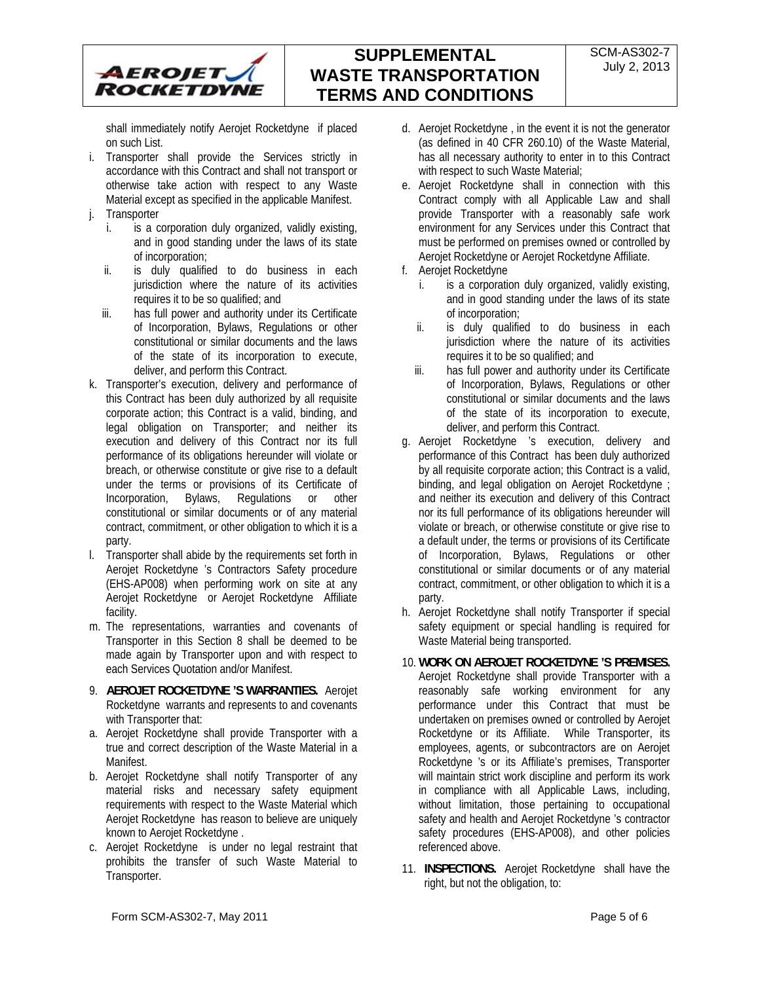

shall immediately notify Aerojet Rocketdyne if placed on such List.

- i. Transporter shall provide the Services strictly in accordance with this Contract and shall not transport or otherwise take action with respect to any Waste Material except as specified in the applicable Manifest.
- j. Transporter
	- i. is a corporation duly organized, validly existing, and in good standing under the laws of its state of incorporation;
	- ii. is duly qualified to do business in each jurisdiction where the nature of its activities requires it to be so qualified; and
	- iii. has full power and authority under its Certificate of Incorporation, Bylaws, Regulations or other constitutional or similar documents and the laws of the state of its incorporation to execute, deliver, and perform this Contract.
- k. Transporter's execution, delivery and performance of this Contract has been duly authorized by all requisite corporate action; this Contract is a valid, binding, and legal obligation on Transporter; and neither its execution and delivery of this Contract nor its full performance of its obligations hereunder will violate or breach, or otherwise constitute or give rise to a default under the terms or provisions of its Certificate of Incorporation, Bylaws, Regulations or other constitutional or similar documents or of any material contract, commitment, or other obligation to which it is a party.
- l. Transporter shall abide by the requirements set forth in Aerojet Rocketdyne 's Contractors Safety procedure (EHS-AP008) when performing work on site at any Aerojet Rocketdyne or Aerojet Rocketdyne Affiliate facility.
- m. The representations, warranties and covenants of Transporter in this Section 8 shall be deemed to be made again by Transporter upon and with respect to each Services Quotation and/or Manifest.
- 9. **AEROJET ROCKETDYNE 'S WARRANTIES.** Aerojet Rocketdyne warrants and represents to and covenants with Transporter that:
- a. Aerojet Rocketdyne shall provide Transporter with a true and correct description of the Waste Material in a Manifest.
- b. Aerojet Rocketdyne shall notify Transporter of any material risks and necessary safety equipment requirements with respect to the Waste Material which Aerojet Rocketdyne has reason to believe are uniquely known to Aerojet Rocketdyne .
- c. Aerojet Rocketdyne is under no legal restraint that prohibits the transfer of such Waste Material to Transporter.
- d. Aerojet Rocketdyne , in the event it is not the generator (as defined in 40 CFR 260.10) of the Waste Material, has all necessary authority to enter in to this Contract with respect to such Waste Material;
- e. Aerojet Rocketdyne shall in connection with this Contract comply with all Applicable Law and shall provide Transporter with a reasonably safe work environment for any Services under this Contract that must be performed on premises owned or controlled by Aerojet Rocketdyne or Aerojet Rocketdyne Affiliate.
- f. Aerojet Rocketdyne
	- is a corporation duly organized, validly existing, and in good standing under the laws of its state of incorporation;
	- ii. is duly qualified to do business in each jurisdiction where the nature of its activities requires it to be so qualified; and
	- iii. has full power and authority under its Certificate of Incorporation, Bylaws, Regulations or other constitutional or similar documents and the laws of the state of its incorporation to execute, deliver, and perform this Contract.
- g. Aerojet Rocketdyne 's execution, delivery and performance of this Contract has been duly authorized by all requisite corporate action; this Contract is a valid, binding, and legal obligation on Aerojet Rocketdyne ; and neither its execution and delivery of this Contract nor its full performance of its obligations hereunder will violate or breach, or otherwise constitute or give rise to a default under, the terms or provisions of its Certificate of Incorporation, Bylaws, Regulations or other constitutional or similar documents or of any material contract, commitment, or other obligation to which it is a party.
- h. Aerojet Rocketdyne shall notify Transporter if special safety equipment or special handling is required for Waste Material being transported.
- 10. **WORK ON AEROJET ROCKETDYNE 'S PREMISES.**  Aerojet Rocketdyne shall provide Transporter with a reasonably safe working environment for any performance under this Contract that must be undertaken on premises owned or controlled by Aerojet Rocketdyne or its Affiliate. While Transporter, its employees, agents, or subcontractors are on Aerojet Rocketdyne 's or its Affiliate's premises, Transporter will maintain strict work discipline and perform its work in compliance with all Applicable Laws, including, without limitation, those pertaining to occupational safety and health and Aerojet Rocketdyne 's contractor safety procedures (EHS-AP008), and other policies referenced above.
- 11. **INSPECTIONS.** Aerojet Rocketdyne shall have the right, but not the obligation, to: